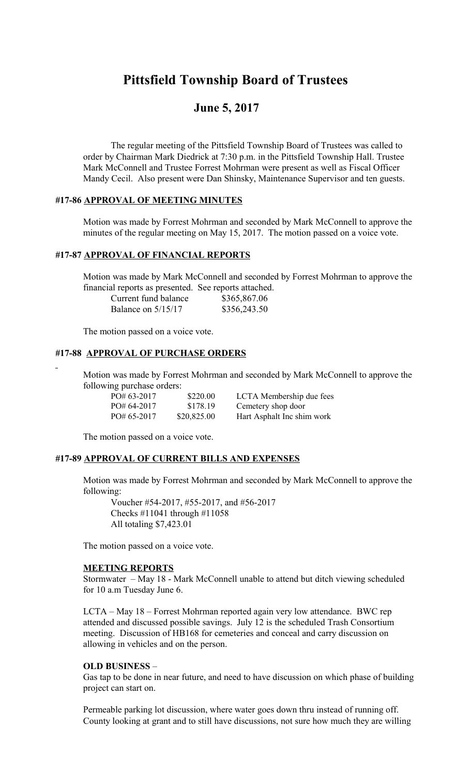# **Pittsfield Township Board of Trustees**

## **June 5, 2017**

The regular meeting of the Pittsfield Township Board of Trustees was called to order by Chairman Mark Diedrick at 7:30 p.m. in the Pittsfield Township Hall. Trustee Mark McConnell and Trustee Forrest Mohrman were present as well as Fiscal Officer Mandy Cecil. Also present were Dan Shinsky, Maintenance Supervisor and ten guests.

## **#17-86 APPROVAL OF MEETING MINUTES**

Motion was made by Forrest Mohrman and seconded by Mark McConnell to approve the minutes of the regular meeting on May 15, 2017. The motion passed on a voice vote.

## **#17-87 APPROVAL OF FINANCIAL REPORTS**

Motion was made by Mark McConnell and seconded by Forrest Mohrman to approve the financial reports as presented. See reports attached.

| Current fund balance | \$365,867.06 |
|----------------------|--------------|
| Balance on $5/15/17$ | \$356,243.50 |

The motion passed on a voice vote.

### **#17-88 APPROVAL OF PURCHASE ORDERS**

Motion was made by Forrest Mohrman and seconded by Mark McConnell to approve the following purchase orders:

| $PO#63-2017$ | \$220.00    | LCTA Membership due fees   |
|--------------|-------------|----------------------------|
| $PO#64-2017$ | \$178.19    | Cemetery shop door         |
| $PO#65-2017$ | \$20,825.00 | Hart Asphalt Inc shim work |

The motion passed on a voice vote.

#### **#17-89 APPROVAL OF CURRENT BILLS AND EXPENSES**

Motion was made by Forrest Mohrman and seconded by Mark McConnell to approve the following:

Voucher #54-2017, #55-2017, and #56-2017 Checks #11041 through #11058 All totaling \$7,423.01

The motion passed on a voice vote.

#### **MEETING REPORTS**

Stormwater – May 18 - Mark McConnell unable to attend but ditch viewing scheduled for 10 a.m Tuesday June 6.

LCTA – May 18 – Forrest Mohrman reported again very low attendance. BWC rep attended and discussed possible savings. July 12 is the scheduled Trash Consortium meeting. Discussion of HB168 for cemeteries and conceal and carry discussion on allowing in vehicles and on the person.

#### **OLD BUSINESS** –

Gas tap to be done in near future, and need to have discussion on which phase of building project can start on.

Permeable parking lot discussion, where water goes down thru instead of running off. County looking at grant and to still have discussions, not sure how much they are willing